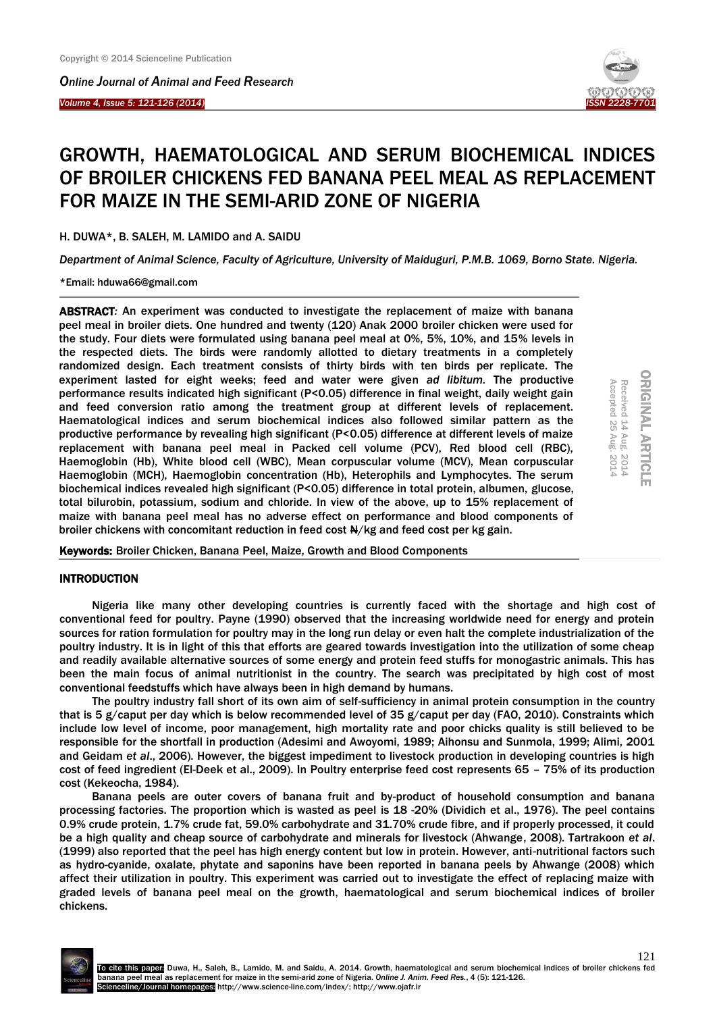*Online Journal of Animal and Feed Research* 

*Volume 4, Issue 5: 121-126 (2014)*  Ĩ



# GROWTH, HAEMATOLOGICAL AND SERUM BIOCHEMICAL INDICES OF BROILER CHICKENS FED BANANA PEEL MEAL AS REPLACEMENT FOR MAIZE IN THE SEMI-ARID ZONE OF NIGERIA

H. DUWA\*, B. SALEH, M. LAMIDO and A. SAIDU

*Department of Animal Science, Faculty of Agriculture, University of Maiduguri, P.M.B. 1069, Borno State. Nigeria.*

\*Email: hduwa66@gmail.com

ABSTRACT*:* An experiment was conducted to investigate the replacement of maize with banana peel meal in broiler diets. One hundred and twenty (120) Anak 2000 broiler chicken were used for the study. Four diets were formulated using banana peel meal at 0%, 5%, 10%, and 15% levels in the respected diets. The birds were randomly allotted to dietary treatments in a completely randomized design. Each treatment consists of thirty birds with ten birds per replicate. The experiment lasted for eight weeks; feed and water were given *ad libitum.* The productive performance results indicated high significant (P<0.05) difference in final weight, daily weight gain and feed conversion ratio among the treatment group at different levels of replacement. Haematological indices and serum biochemical indices also followed similar pattern as the productive performance by revealing high significant (P<0.05) difference at different levels of maize replacement with banana peel meal in Packed cell volume (PCV), Red blood cell (RBC), Haemoglobin (Hb), White blood cell (WBC), Mean corpuscular volume (MCV), Mean corpuscular Haemoglobin (MCH), Haemoglobin concentration (Hb), Heterophils and Lymphocytes. The serum biochemical indices revealed high significant (P<0.05) difference in total protein, albumen, glucose, total bilurobin, potassium, sodium and chloride. In view of the above, up to 15% replacement of maize with banana peel meal has no adverse effect on performance and blood components of broiler chickens with concomitant reduction in feed cost  $\frac{N}{k}$  and feed cost per kg gain.

| Accepted         | Received                      |   |
|------------------|-------------------------------|---|
| N<br>ŰΤ          | Ĥ<br>$\overline{\phantom{a}}$ |   |
| Aug.<br>σo,<br>÷ | ≧                             |   |
| SO<br>é<br>▵     | N<br>Ė                        | ш |
|                  |                               |   |

 $\circ$ 

Keywords: Broiler Chicken, Banana Peel, Maize, Growth and Blood Components

#### INTRODUCTION

Nigeria like many other developing countries is currently faced with the shortage and high cost of conventional feed for poultry. Payne (1990) observed that the increasing worldwide need for energy and protein sources for ration formulation for poultry may in the long run delay or even halt the complete industrialization of the poultry industry. It is in light of this that efforts are geared towards investigation into the utilization of some cheap and readily available alternative sources of some energy and protein feed stuffs for monogastric animals. This has been the main focus of animal nutritionist in the country. The search was precipitated by high cost of most conventional feedstuffs which have always been in high demand by humans.

The poultry industry fall short of its own aim of self-sufficiency in animal protein consumption in the country that is 5 g/caput per day which is below recommended level of 35 g/caput per day (FAO, 2010). Constraints which include low level of income, poor management, high mortality rate and poor chicks quality is still believed to be responsible for the shortfall in production (Adesimi and Awoyomi, 1989; Aihonsu and Sunmola, 1999; Alimi, 2001 and Geidam *et al*., 2006). However, the biggest impediment to livestock production in developing countries is high cost of feed ingredient (El-Deek et al., 2009). In Poultry enterprise feed cost represents 65 – 75% of its production cost (Kekeocha, 1984).

Banana peels are outer covers of banana fruit and by-product of household consumption and banana processing factories. The proportion which is wasted as peel is 18 -20% (Dividich et al., 1976). The peel contains 0.9% crude protein, 1.7% crude fat, 59.0% carbohydrate and 31.70% crude fibre, and if properly processed, it could be a high quality and cheap source of carbohydrate and minerals for livestock (Ahwange, 2008). Tartrakoon *et al*. (1999) also reported that the peel has high energy content but low in protein. However, anti-nutritional factors such as hydro-cyanide, oxalate, phytate and saponins have been reported in banana peels by Ahwange (2008) which affect their utilization in poultry. This experiment was carried out to investigate the effect of replacing maize with graded levels of banana peel meal on the growth, haematological and serum biochemical indices of broiler chickens.

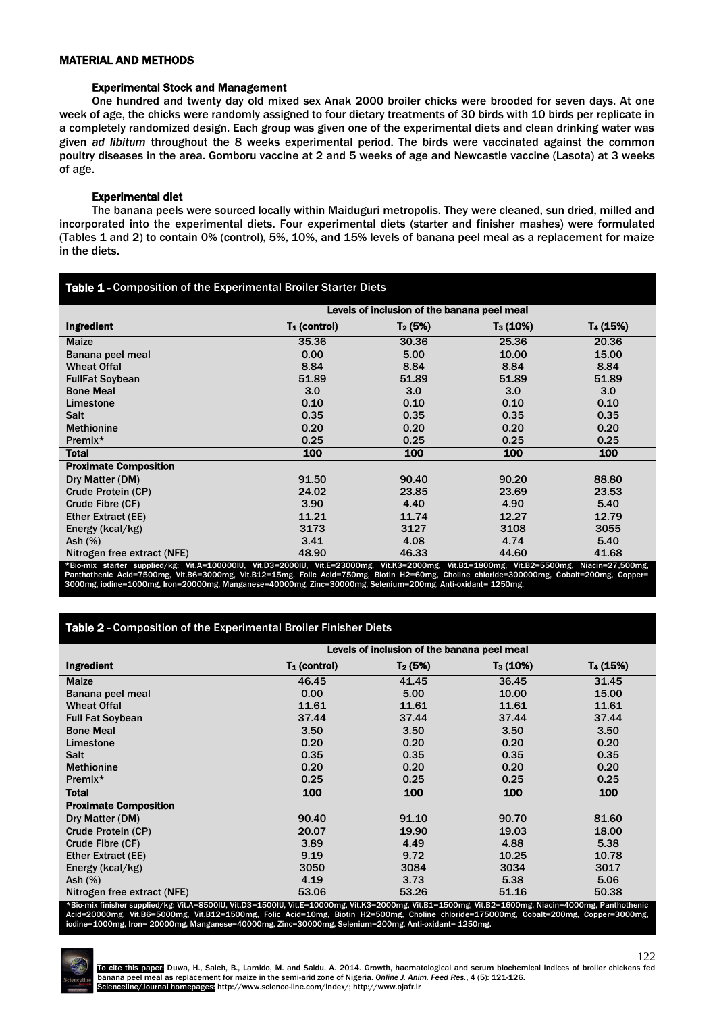## MATERIAL AND METHODS

## Experimental Stock and Management

One hundred and twenty day old mixed sex Anak 2000 broiler chicks were brooded for seven days. At one week of age, the chicks were randomly assigned to four dietary treatments of 30 birds with 10 birds per replicate in a completely randomized design. Each group was given one of the experimental diets and clean drinking water was given *ad libitum* throughout the 8 weeks experimental period. The birds were vaccinated against the common poultry diseases in the area. Gomboru vaccine at 2 and 5 weeks of age and Newcastle vaccine (Lasota) at 3 weeks of age.

# Experimental diet

The banana peels were sourced locally within Maiduguri metropolis. They were cleaned, sun dried, milled and incorporated into the experimental diets. Four experimental diets (starter and finisher mashes) were formulated (Tables 1 and 2) to contain 0% (control), 5%, 10%, and 15% levels of banana peel meal as a replacement for maize in the diets.

| Table 1 - Composition of the Experimental Broiler Starter Diets |                                             |                     |                      |                      |  |
|-----------------------------------------------------------------|---------------------------------------------|---------------------|----------------------|----------------------|--|
|                                                                 | Levels of inclusion of the banana peel meal |                     |                      |                      |  |
| Ingredient                                                      | $T_1$ (control)                             | T <sub>2</sub> (5%) | T <sub>3</sub> (10%) | T <sub>4</sub> (15%) |  |
| Maize                                                           | 35.36                                       | 30.36               | 25.36                | 20.36                |  |
| Banana peel meal                                                | 0.00                                        | 5.00                | 10.00                | 15.00                |  |
| <b>Wheat Offal</b>                                              | 8.84                                        | 8.84                | 8.84                 | 8.84                 |  |
| <b>FullFat Soybean</b>                                          | 51.89                                       | 51.89               | 51.89                | 51.89                |  |
| <b>Bone Meal</b>                                                | 3.0                                         | 3.0                 | 3.0                  | 3.0 <sub>2</sub>     |  |
| Limestone                                                       | 0.10                                        | 0.10                | 0.10                 | 0.10                 |  |
| <b>Salt</b>                                                     | 0.35                                        | 0.35                | 0.35                 | 0.35                 |  |
| <b>Methionine</b>                                               | 0.20                                        | 0.20                | 0.20                 | 0.20                 |  |
| Premix*                                                         | 0.25                                        | 0.25                | 0.25                 | 0.25                 |  |
| <b>Total</b>                                                    | 100                                         | 100                 | 100                  | 100                  |  |
| <b>Proximate Composition</b>                                    |                                             |                     |                      |                      |  |
| Dry Matter (DM)                                                 | 91.50                                       | 90.40               | 90.20                | 88.80                |  |
| Crude Protein (CP)                                              | 24.02                                       | 23.85               | 23.69                | 23.53                |  |
| Crude Fibre (CF)                                                | 3.90                                        | 4.40                | 4.90                 | 5.40                 |  |
| Ether Extract (EE)                                              | 11.21                                       | 11.74               | 12.27                | 12.79                |  |
| Energy (kcal/kg)                                                | 3173                                        | 3127                | 3108                 | 3055                 |  |
| Ash $(\%)$                                                      | 3.41                                        | 4.08                | 4.74                 | 5.40                 |  |
| Nitrogen free extract (NFE)                                     | 48.90                                       | 46.33               | 44.60                | 41.68                |  |

\*Bio-mix starter supplied/kg: Vit.A=100000IU, Vit.D3=2000IU, Vit.E=23000mg, Vit.K3=2000mg, Vit.B1=1800mg, Vit.B2=5500mg, Niacin=27,500mg, Panthothenic Acid=7500mg, Vit.B6=3000mg, Vit.B12=15mg, Folic Acid=750mg, Biotin H2=60mg, Choline chloride=300000mg, Cobalt=200mg, Copper=<br>3000mg, iodine=1000mg, Iron=20000mg, Manganese=40000mg, Zinc=30000mg, Selenium=200mg

# Table 2 - Composition of the Experimental Broiler Finisher Diets

|                              | Levels of inclusion of the banana peel meal |           |                      |          |  |
|------------------------------|---------------------------------------------|-----------|----------------------|----------|--|
| Ingredient                   | $T_1$ (control)                             | $T_2(5%)$ | T <sub>3</sub> (10%) | T4 (15%) |  |
| <b>Maize</b>                 | 46.45                                       | 41.45     | 36.45                | 31.45    |  |
| Banana peel meal             | 0.00                                        | 5.00      | 10.00                | 15.00    |  |
| <b>Wheat Offal</b>           | 11.61                                       | 11.61     | 11.61                | 11.61    |  |
| <b>Full Fat Soybean</b>      | 37.44                                       | 37.44     | 37.44                | 37.44    |  |
| <b>Bone Meal</b>             | 3.50                                        | 3.50      | 3.50                 | 3.50     |  |
| Limestone                    | 0.20                                        | 0.20      | 0.20                 | 0.20     |  |
| <b>Salt</b>                  | 0.35                                        | 0.35      | 0.35                 | 0.35     |  |
| <b>Methionine</b>            | 0.20                                        | 0.20      | 0.20                 | 0.20     |  |
| Premix*                      | 0.25                                        | 0.25      | 0.25                 | 0.25     |  |
| <b>Total</b>                 | 100                                         | 100       | 100                  | 100      |  |
| <b>Proximate Composition</b> |                                             |           |                      |          |  |
| Dry Matter (DM)              | 90.40                                       | 91.10     | 90.70                | 81.60    |  |
| Crude Protein (CP)           | 20.07                                       | 19.90     | 19.03                | 18.00    |  |
| Crude Fibre (CF)             | 3.89                                        | 4.49      | 4.88                 | 5.38     |  |
| <b>Ether Extract (EE)</b>    | 9.19                                        | 9.72      | 10.25                | 10.78    |  |
| Energy (kcal/kg)             | 3050                                        | 3084      | 3034                 | 3017     |  |
| Ash $(\%)$                   | 4.19                                        | 3.73      | 5.38                 | 5.06     |  |
| Nitrogen free extract (NFE)  | 53.06                                       | 53.26     | 51.16                | 50.38    |  |

\*Bio-mix finisher supplied/kg: Vit.A=8500IU, Vit.D3=1500IU, Vit.E=10000mg, Vit.M3=2000mg, Vit.B1=1500mg, Vit.B2=1600mg, Niacin=4000mg, Panthothenic<br>Acid=20000mg, Vit.B6=5000mg, Vit.B12=1500mg, Folic Acid=10mg, Biotin



122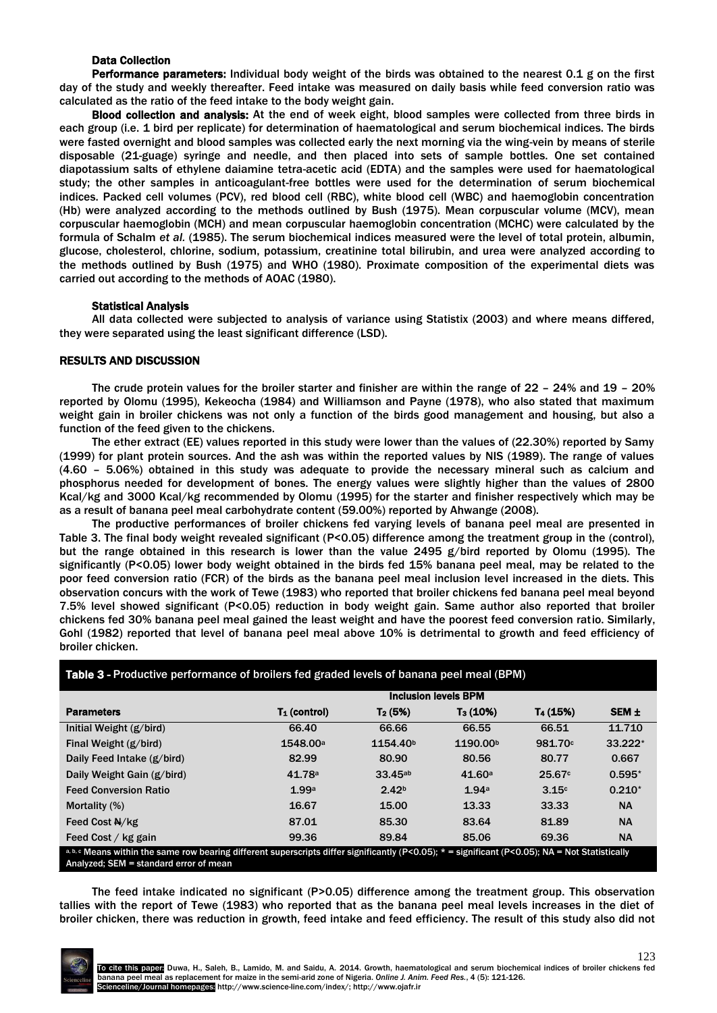## Data Collection

Performance parameters: Individual body weight of the birds was obtained to the nearest 0.1 g on the first day of the study and weekly thereafter. Feed intake was measured on daily basis while feed conversion ratio was calculated as the ratio of the feed intake to the body weight gain.

Blood collection and analysis: At the end of week eight, blood samples were collected from three birds in each group (i.e. 1 bird per replicate) for determination of haematological and serum biochemical indices. The birds were fasted overnight and blood samples was collected early the next morning via the wing-vein by means of sterile disposable (21-guage) syringe and needle, and then placed into sets of sample bottles. One set contained diapotassium salts of ethylene daiamine tetra-acetic acid (EDTA) and the samples were used for haematological study; the other samples in anticoagulant-free bottles were used for the determination of serum biochemical indices. Packed cell volumes (PCV), red blood cell (RBC), white blood cell (WBC) and haemoglobin concentration (Hb) were analyzed according to the methods outlined by Bush (1975). Mean corpuscular volume (MCV), mean corpuscular haemoglobin (MCH) and mean corpuscular haemoglobin concentration (MCHC) were calculated by the formula of Schalm *et al.* (1985). The serum biochemical indices measured were the level of total protein, albumin, glucose, cholesterol, chlorine, sodium, potassium, creatinine total bilirubin, and urea were analyzed according to the methods outlined by Bush (1975) and WHO (1980). Proximate composition of the experimental diets was carried out according to the methods of AOAC (1980).

# Statistical Analysis

All data collected were subjected to analysis of variance using Statistix (2003) and where means differed, they were separated using the least significant difference (LSD).

## RESULTS AND DISCUSSION

The crude protein values for the broiler starter and finisher are within the range of 22 – 24% and 19 – 20% reported by Olomu (1995), Kekeocha (1984) and Williamson and Payne (1978), who also stated that maximum weight gain in broiler chickens was not only a function of the birds good management and housing, but also a function of the feed given to the chickens.

The ether extract (EE) values reported in this study were lower than the values of (22.30%) reported by Samy (1999) for plant protein sources. And the ash was within the reported values by NIS (1989). The range of values (4.60 – 5.06%) obtained in this study was adequate to provide the necessary mineral such as calcium and phosphorus needed for development of bones. The energy values were slightly higher than the values of 2800 Kcal/kg and 3000 Kcal/kg recommended by Olomu (1995) for the starter and finisher respectively which may be as a result of banana peel meal carbohydrate content (59.00%) reported by Ahwange (2008).

The productive performances of broiler chickens fed varying levels of banana peel meal are presented in Table 3. The final body weight revealed significant (P<0.05) difference among the treatment group in the (control), but the range obtained in this research is lower than the value 2495 g/bird reported by Olomu (1995). The significantly (P<0.05) lower body weight obtained in the birds fed 15% banana peel meal, may be related to the poor feed conversion ratio (FCR) of the birds as the banana peel meal inclusion level increased in the diets. This observation concurs with the work of Tewe (1983) who reported that broiler chickens fed banana peel meal beyond 7.5% level showed significant (P<0.05) reduction in body weight gain. Same author also reported that broiler chickens fed 30% banana peel meal gained the least weight and have the poorest feed conversion ratio. Similarly, Gohl (1982) reported that level of banana peel meal above 10% is detrimental to growth and feed efficiency of broiler chicken.

| Table 3 - Productive performance of broilers fed graded levels of banana peel meal (BPM)                                                                                                     |                             |                      |                      |                      |                  |
|----------------------------------------------------------------------------------------------------------------------------------------------------------------------------------------------|-----------------------------|----------------------|----------------------|----------------------|------------------|
|                                                                                                                                                                                              | <b>Inclusion levels BPM</b> |                      |                      |                      |                  |
| <b>Parameters</b>                                                                                                                                                                            | $T_1$ (control)             | $T_2(5%)$            | $T_3(10%)$           | T <sub>4</sub> (15%) | SEM <sub>±</sub> |
| Initial Weight (g/bird)                                                                                                                                                                      | 66.40                       | 66.66                | 66.55                | 66.51                | 11.710           |
| Final Weight (g/bird)                                                                                                                                                                        | 1548.00 <sup>a</sup>        | 1154.40 <sup>b</sup> | 1190.00 <sup>b</sup> | 981.70c              | 33.222*          |
| Daily Feed Intake (g/bird)                                                                                                                                                                   | 82.99                       | 80.90                | 80.56                | 80.77                | 0.667            |
| Daily Weight Gain (g/bird)                                                                                                                                                                   | 41.78 <sup>a</sup>          | 33.45 <sup>ab</sup>  | 41.60a               | 25.67c               | $0.595*$         |
| <b>Feed Conversion Ratio</b>                                                                                                                                                                 | 1.99a                       | 2.42 <sub>b</sub>    | 1.94a                | 3.15c                | $0.210*$         |
| Mortality (%)                                                                                                                                                                                | 16.67                       | 15.00                | 13.33                | 33.33                | <b>NA</b>        |
| Feed Cost N/kg                                                                                                                                                                               | 87.01                       | 85.30                | 83.64                | 81.89                | <b>NA</b>        |
| Feed Cost / kg gain                                                                                                                                                                          | 99.36                       | 89.84                | 85.06                | 69.36                | <b>NA</b>        |
| a, b, c Means within the same row bearing different superscripts differ significantly (P<0.05); $* =$ significant (P<0.05); NA = Not Statistically<br>Analyzed; SEM = standard error of mean |                             |                      |                      |                      |                  |

The feed intake indicated no significant (P>0.05) difference among the treatment group. This observation tallies with the report of Tewe (1983) who reported that as the banana peel meal levels increases in the diet of broiler chicken, there was reduction in growth, feed intake and feed efficiency. The result of this study also did not

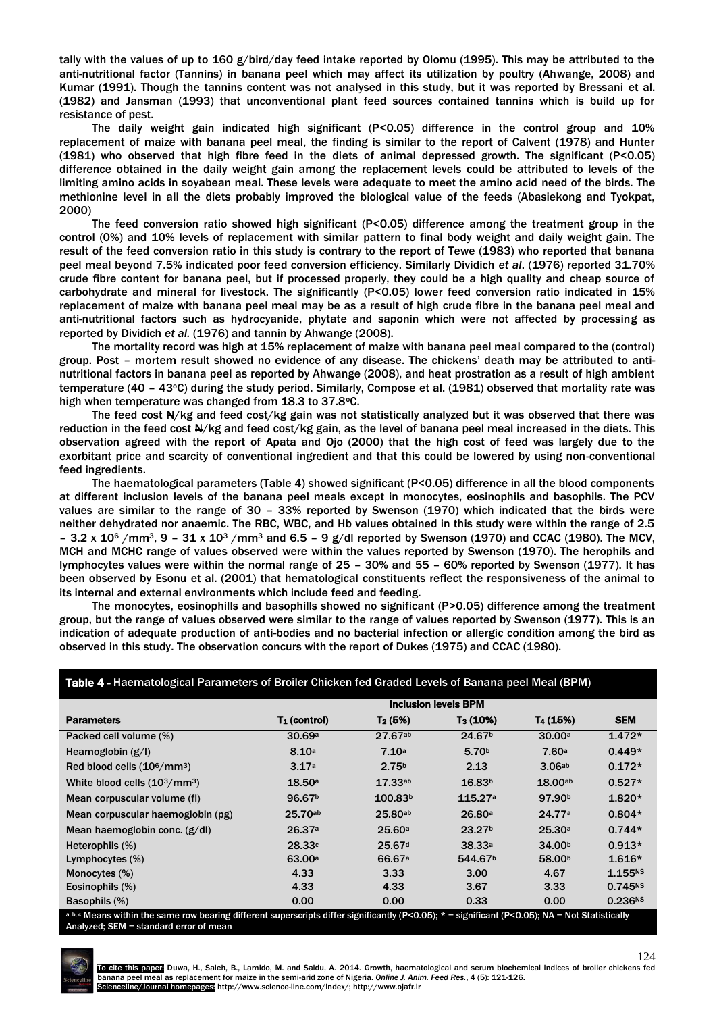tally with the values of up to 160 g/bird/day feed intake reported by Olomu (1995). This may be attributed to the anti-nutritional factor (Tannins) in banana peel which may affect its utilization by poultry (Ahwange, 2008) and Kumar (1991). Though the tannins content was not analysed in this study, but it was reported by Bressani et al. (1982) and Jansman (1993) that unconventional plant feed sources contained tannins which is build up for resistance of pest.

The daily weight gain indicated high significant (P<0.05) difference in the control group and 10% replacement of maize with banana peel meal, the finding is similar to the report of Calvent (1978) and Hunter (1981) who observed that high fibre feed in the diets of animal depressed growth. The significant (P<0.05) difference obtained in the daily weight gain among the replacement levels could be attributed to levels of the limiting amino acids in soyabean meal. These levels were adequate to meet the amino acid need of the birds. The methionine level in all the diets probably improved the biological value of the feeds (Abasiekong and Tyokpat, 2000)

The feed conversion ratio showed high significant (P<0.05) difference among the treatment group in the control (0%) and 10% levels of replacement with similar pattern to final body weight and daily weight gain. The result of the feed conversion ratio in this study is contrary to the report of Tewe (1983) who reported that banana peel meal beyond 7.5% indicated poor feed conversion efficiency. Similarly Dividich *et al*. (1976) reported 31.70% crude fibre content for banana peel, but if processed properly, they could be a high quality and cheap source of carbohydrate and mineral for livestock. The significantly (P<0.05) lower feed conversion ratio indicated in 15% replacement of maize with banana peel meal may be as a result of high crude fibre in the banana peel meal and anti-nutritional factors such as hydrocyanide, phytate and saponin which were not affected by processing as reported by Dividich *et al.* (1976) and tannin by Ahwange (2008).

The mortality record was high at 15% replacement of maize with banana peel meal compared to the (control) group. Post – mortem result showed no evidence of any disease. The chickens' death may be attributed to antinutritional factors in banana peel as reported by Ahwange (2008), and heat prostration as a result of high ambient temperature (40 – 43°C) during the study period. Similarly, Compose et al. (1981) observed that mortality rate was high when temperature was changed from 18.3 to 37.8°C.

The feed cost  $A/\kappa g$  and feed cost/kg gain was not statistically analyzed but it was observed that there was reduction in the feed cost N/kg and feed cost/kg gain, as the level of banana peel meal increased in the diets. This observation agreed with the report of Apata and Ojo (2000) that the high cost of feed was largely due to the exorbitant price and scarcity of conventional ingredient and that this could be lowered by using non-conventional feed ingredients.

The haematological parameters (Table 4) showed significant (P<0.05) difference in all the blood components at different inclusion levels of the banana peel meals except in monocytes, eosinophils and basophils. The PCV values are similar to the range of 30 – 33% reported by Swenson (1970) which indicated that the birds were neither dehydrated nor anaemic. The RBC, WBC, and Hb values obtained in this study were within the range of 2.5 – 3.2 x 10<sup>6</sup> /mm<sup>3</sup>, 9 – 31 x 10<sup>3</sup> /mm<sup>3</sup> and 6.5 – 9 g/dl reported by Swenson (1970) and CCAC (1980). The MCV, MCH and MCHC range of values observed were within the values reported by Swenson (1970). The herophils and lymphocytes values were within the normal range of 25 – 30% and 55 – 60% reported by Swenson (1977). It has been observed by Esonu et al. (2001) that hematological constituents reflect the responsiveness of the animal to its internal and external environments which include feed and feeding.

The monocytes, eosinophills and basophills showed no significant (P>0.05) difference among the treatment group, but the range of values observed were similar to the range of values reported by Swenson (1977). This is an indication of adequate production of anti-bodies and no bacterial infection or allergic condition among the bird as observed in this study. The observation concurs with the report of Dukes (1975) and CCAC (1980).

#### Table 4 - Haematological Parameters of Broiler Chicken fed Graded Levels of Banana peel Meal (BPM)

|                                      | <b>Inclusion levels BPM</b> |                     |                     |                      |                     |
|--------------------------------------|-----------------------------|---------------------|---------------------|----------------------|---------------------|
| <b>Parameters</b>                    | $T_1$ (control)             | $T_2(5%)$           | $T_3(10%)$          | T <sub>4</sub> (15%) | <b>SEM</b>          |
| Packed cell volume (%)               | 30.69a                      | $27.67^{ab}$        | 24.67 <sup>b</sup>  | 30.00a               | $1.472*$            |
| Heamoglobin $(g/l)$                  | 8.10 <sup>a</sup>           | 7.10a               | 5.70 <sup>b</sup>   | 7.60a                | $0.449*$            |
| Red blood cells $(10^6/\text{mm}^3)$ | 3.17a                       | 2.75 <sup>b</sup>   | 2.13                | 3.06ab               | $0.172*$            |
| White blood cells $(103/mm3)$        | 18.50a                      | 17.33ab             | 16.83 <sup>b</sup>  | 18.00ab              | $0.527*$            |
| Mean corpuscular volume (fl)         | 96.67 <sup>b</sup>          | 100.83 <sup>b</sup> | 115.27a             | 97.90 <sup>b</sup>   | $1.820*$            |
| Mean corpuscular haemoglobin (pg)    | 25.70ab                     | $25.80^{ab}$        | 26.80a              | 24.77a               | $0.804*$            |
| Mean haemoglobin conc. $(g/d)$       | 26.37a                      | 25.60a              | 23.27 <sup>b</sup>  | 25.30a               | $0.744*$            |
| Heterophils (%)                      | 28.33c                      | 25.67 <sup>d</sup>  | 38.33a              | 34.00 <sup>b</sup>   | $0.913*$            |
| Lymphocytes (%)                      | 63.00a                      | 66.67 <sup>a</sup>  | 544.67 <sup>b</sup> | 58.00 <sup>b</sup>   | $1.616*$            |
| Monocytes (%)                        | 4.33                        | 3.33                | 3.00                | 4.67                 | 1.155N5             |
| Eosinophils (%)                      | 4.33                        | 4.33                | 3.67                | 3.33                 | $0.745^{NS}$        |
| Basophils (%)                        | 0.00                        | 0.00                | 0.33                | 0.00                 | 0.236 <sup>NS</sup> |

 $a, c$  Means within the same row bearing different superscripts differ significantly (P<0.05); \* = significant (P<0.05); NA = Not Statistically Analyzed; SEM = standard error of mean



124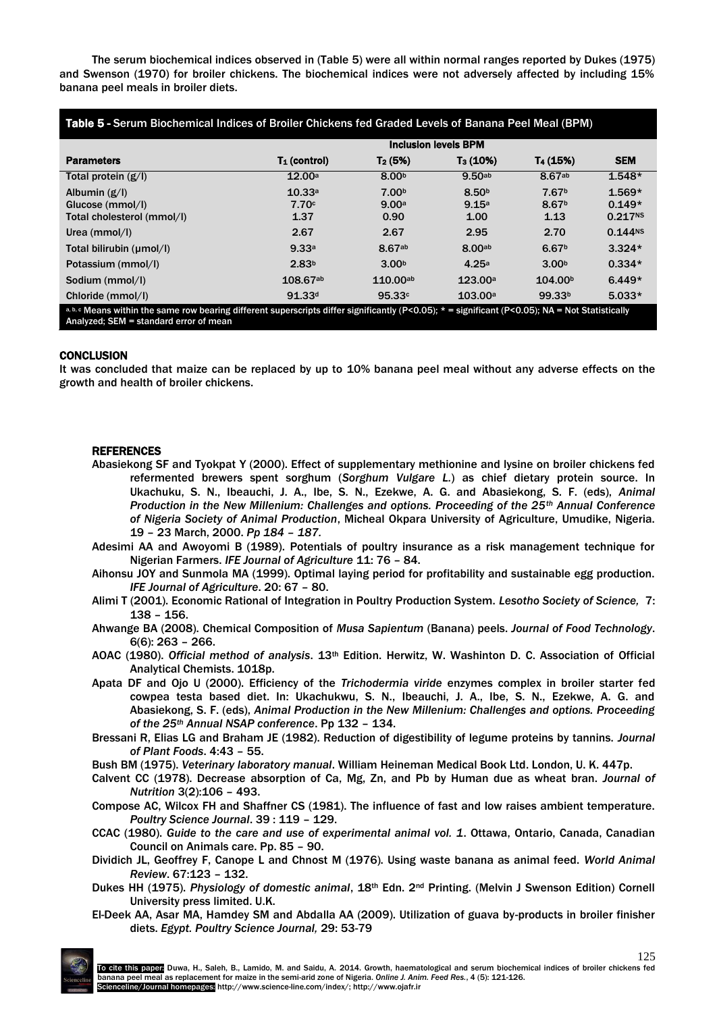The serum biochemical indices observed in (Table 5) were all within normal ranges reported by Dukes (1975) and Swenson (1970) for broiler chickens. The biochemical indices were not adversely affected by including 15% banana peel meals in broiler diets.

| Table 5 - Serum Biochemical Indices of Broiler Chickens fed Graded Levels of Banana Peel Meal (BPM)                                                                                          |                             |                      |                      |                      |                     |
|----------------------------------------------------------------------------------------------------------------------------------------------------------------------------------------------|-----------------------------|----------------------|----------------------|----------------------|---------------------|
|                                                                                                                                                                                              | <b>Inclusion levels BPM</b> |                      |                      |                      |                     |
| <b>Parameters</b>                                                                                                                                                                            | $T_1$ (control)             | $T_2(5%)$            | T <sub>3</sub> (10%) | T <sub>4</sub> (15%) | <b>SEM</b>          |
| Total protein $(g/I)$                                                                                                                                                                        | 12.00a                      | 8.00 <sup>b</sup>    | 9.50 <sub>ab</sub>   | 8.67ab               | $1.548*$            |
| Albumin $(g/l)$                                                                                                                                                                              | 10.33a                      | 7.00 <sub>b</sub>    | 8.50 <sup>b</sup>    | 7.67 <sup>b</sup>    | $1.569*$            |
| Glucose (mmol/l)                                                                                                                                                                             | 7.70c                       | 9.00a                | 9.15a                | 8.67 <sup>b</sup>    | $0.149*$            |
| Total cholesterol (mmol/l)                                                                                                                                                                   | 1.37                        | 0.90                 | 1.00                 | 1.13                 | 0.217 <sup>NS</sup> |
| Urea (mmol/l)                                                                                                                                                                                | 2.67                        | 2.67                 | 2.95                 | 2.70                 | 0.144N5             |
| Total bilirubin (umol/l)                                                                                                                                                                     | 9.33a                       | 8.67ab               | 8.00 <sub>ab</sub>   | 6.67 <sup>b</sup>    | $3.324*$            |
| Potassium (mmol/l)                                                                                                                                                                           | 2.83 <sup>b</sup>           | 3.00 <sup>b</sup>    | 4.25a                | 3.00 <sup>b</sup>    | $0.334*$            |
| Sodium (mmol/l)                                                                                                                                                                              | 108.67ab                    | 110.00a <sub>b</sub> | 123.00a              | 104.00 <sup>b</sup>  | $6.449*$            |
| Chloride (mmol/l)                                                                                                                                                                            | 91.33 <sup>d</sup>          | 95.33c               | 103.00a              | 99.33 <sup>b</sup>   | $5.033*$            |
| a, b, c Means within the same row bearing different superscripts differ significantly (P<0.05); $* =$ significant (P<0.05); NA = Not Statistically<br>Analyzed; SEM = standard error of mean |                             |                      |                      |                      |                     |

#### **CONCLUSION**

It was concluded that maize can be replaced by up to 10% banana peel meal without any adverse effects on the growth and health of broiler chickens.

#### REFERENCES

- Abasiekong SF and Tyokpat Y (2000). Effect of supplementary methionine and lysine on broiler chickens fed refermented brewers spent sorghum (*Sorghum Vulgare L.*) as chief dietary protein source. In Ukachuku, S. N., Ibeauchi, J. A., Ibe, S. N., Ezekwe, A. G. and Abasiekong, S. F. (eds), *Animal Production in the New Millenium: Challenges and options. Proceeding of the 25th Annual Conference of Nigeria Society of Animal Production*, Micheal Okpara University of Agriculture, Umudike, Nigeria. 19 – 23 March, 2000. *Pp 184 – 187.*
- Adesimi AA and Awoyomi B (1989). Potentials of poultry insurance as a risk management technique for Nigerian Farmers. *IFE Journal of Agriculture* 11: 76 – 84.
- Aihonsu JOY and Sunmola MA (1999). Optimal laying period for profitability and sustainable egg production. *IFE Journal of Agriculture*. 20: 67 – 80.
- Alimi T (2001). Economic Rational of Integration in Poultry Production System. *Lesotho Society of Science,* 7: 138 – 156.
- Ahwange BA (2008). Chemical Composition of *Musa Sapientum* (Banana) peels. *Journal of Food Technology*. 6(6): 263 – 266.
- AOAC (1980). *Official method of analysis*. 13th Edition. Herwitz, W. Washinton D. C. Association of Official Analytical Chemists. 1018p.
- Apata DF and Ojo U (2000). Efficiency of the *Trichodermia viride* enzymes complex in broiler starter fed cowpea testa based diet. In: Ukachukwu, S. N., Ibeauchi, J. A., Ibe, S. N., Ezekwe, A. G. and Abasiekong, S. F. (eds), *Animal Production in the New Millenium: Challenges and options. Proceeding of the 25th Annual NSAP conference*. Pp 132 – 134.
- Bressani R, Elias LG and Braham JE (1982). Reduction of digestibility of legume proteins by tannins. *Journal of Plant Foods*. 4:43 – 55.
- Bush BM (1975). *Veterinary laboratory manual*. William Heineman Medical Book Ltd. London, U. K. 447p.
- Calvent CC (1978). Decrease absorption of Ca, Mg, Zn, and Pb by Human due as wheat bran. *Journal of Nutrition* 3(2):106 – 493.
- Compose AC, Wilcox FH and Shaffner CS (1981). The influence of fast and low raises ambient temperature. *Poultry Science Journal*. 39 : 119 – 129.
- CCAC (1980). *Guide to the care and use of experimental animal vol. 1*. Ottawa, Ontario, Canada, Canadian Council on Animals care. Pp. 85 – 90.
- Dividich JL, Geoffrey F, Canope L and Chnost M (1976). Using waste banana as animal feed. *World Animal Review*. 67:123 – 132.
- Dukes HH (1975). *Physiology of domestic animal*, 18th Edn. 2nd Printing. (Melvin J Swenson Edition) Cornell University press limited. U.K.
- El-Deek AA, Asar MA, Hamdey SM and Abdalla AA (2009). Utilization of guava by-products in broiler finisher diets. *Egypt. Poultry Science Journal,* 29: 53-79